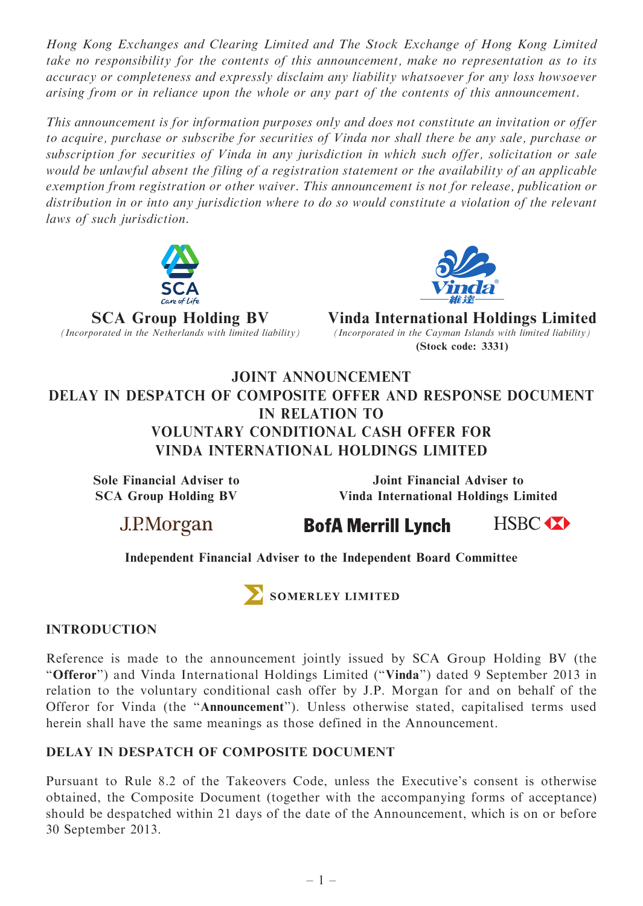Hong Kong Exchanges and Clearing Limited and The Stock Exchange of Hong Kong Limited take no responsibility for the contents of this announcement, make no representation as to its accuracy or completeness and expressly disclaim any liability whatsoever for any loss howsoever arising from or in reliance upon the whole or any part of the contents of this announcement.

This announcement is for information purposes only and does not constitute an invitation or offer to acquire, purchase or subscribe for securities of Vinda nor shall there be any sale, purchase or subscription for securities of Vinda in any jurisdiction in which such offer, solicitation or sale would be unlawful absent the filing of a registration statement or the availability of an applicable exemption from registration or other waiver. This announcement is not for release, publication or distribution in or into any jurisdiction where to do so would constitute a violation of the relevant laws of such jurisdiction.





SCA Group Holding BV<br>(Incorporated in the Netherlands with limited liability) (Incorporated in the Cayman Islands with limited liability) (Incorporated in the Cayman Islands with limited liability) (Stock code: 3331)

## JOINT ANNOUNCEMENT DELAY IN DESPATCH OF COMPOSITE OFFER AND RESPONSE DOCUMENT IN RELATION TO VOLUNTARY CONDITIONAL CASH OFFER FOR VINDA INTERNATIONAL HOLDINGS LIMITED

Sole Financial Adviser to SCA Group Holding BV

Joint Financial Adviser to Vinda International Holdings Limited

J.P.Morgan

**BofA Merrill Lynch** 

HSBC **XX** 

## Independent Financial Adviser to the Independent Board Committee



SOMERLEY LIMITED

## INTRODUCTION

Reference is made to the announcement jointly issued by SCA Group Holding BV (the "Offeror") and Vinda International Holdings Limited ("Vinda") dated 9 September 2013 in relation to the voluntary conditional cash offer by J.P. Morgan for and on behalf of the Offeror for Vinda (the ''Announcement''). Unless otherwise stated, capitalised terms used herein shall have the same meanings as those defined in the Announcement.

## DELAY IN DESPATCH OF COMPOSITE DOCUMENT

Pursuant to Rule 8.2 of the Takeovers Code, unless the Executive's consent is otherwise obtained, the Composite Document (together with the accompanying forms of acceptance) should be despatched within 21 days of the date of the Announcement, which is on or before 30 September 2013.